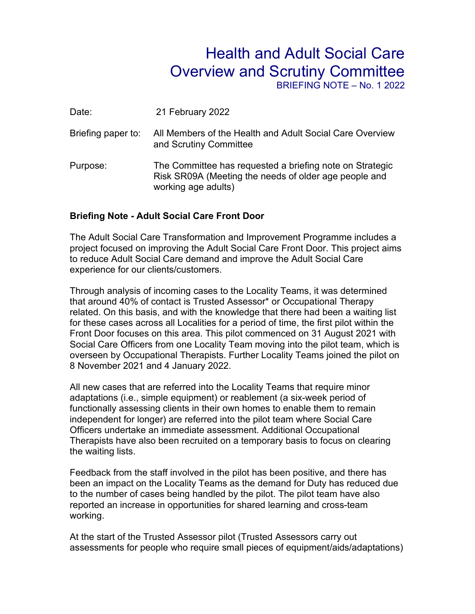## Health and Adult Social Care Overview and Scrutiny Committee

BRIEFING NOTE – No. 1 2022

| Date:              | 21 February 2022                                                                                                                         |
|--------------------|------------------------------------------------------------------------------------------------------------------------------------------|
| Briefing paper to: | All Members of the Health and Adult Social Care Overview<br>and Scrutiny Committee                                                       |
| Purpose:           | The Committee has requested a briefing note on Strategic<br>Risk SR09A (Meeting the needs of older age people and<br>working age adults) |

## **Briefing Note - Adult Social Care Front Door**

The Adult Social Care Transformation and Improvement Programme includes a project focused on improving the Adult Social Care Front Door. This project aims to reduce Adult Social Care demand and improve the Adult Social Care experience for our clients/customers.

Through analysis of incoming cases to the Locality Teams, it was determined that around 40% of contact is Trusted Assessor\* or Occupational Therapy related. On this basis, and with the knowledge that there had been a waiting list for these cases across all Localities for a period of time, the first pilot within the Front Door focuses on this area. This pilot commenced on 31 August 2021 with Social Care Officers from one Locality Team moving into the pilot team, which is overseen by Occupational Therapists. Further Locality Teams joined the pilot on 8 November 2021 and 4 January 2022.

All new cases that are referred into the Locality Teams that require minor adaptations (i.e., simple equipment) or reablement (a six-week period of functionally assessing clients in their own homes to enable them to remain independent for longer) are referred into the pilot team where Social Care Officers undertake an immediate assessment. Additional Occupational Therapists have also been recruited on a temporary basis to focus on clearing the waiting lists.

Feedback from the staff involved in the pilot has been positive, and there has been an impact on the Locality Teams as the demand for Duty has reduced due to the number of cases being handled by the pilot. The pilot team have also reported an increase in opportunities for shared learning and cross-team working.

At the start of the Trusted Assessor pilot (Trusted Assessors carry out assessments for people who require small pieces of equipment/aids/adaptations)